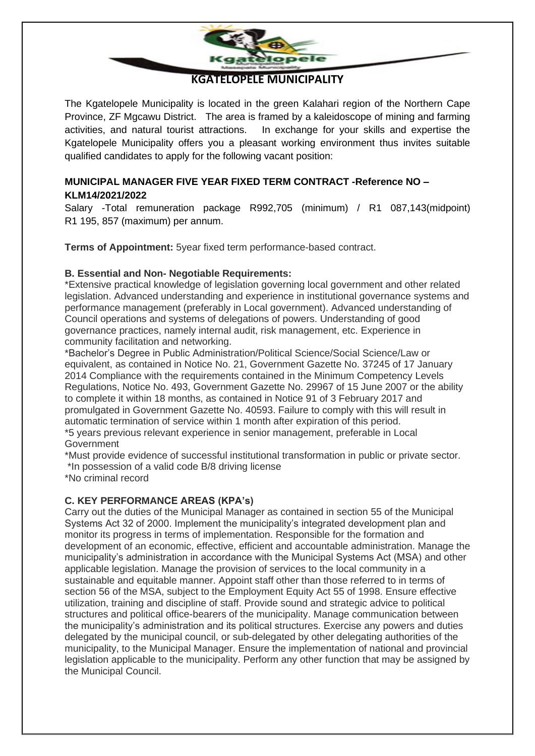

## **KGATELOPELE MUNICIPALITY**

The Kgatelopele Municipality is located in the green Kalahari region of the Northern Cape Province, ZF Mgcawu District. The area is framed by a kaleidoscope of mining and farming activities, and natural tourist attractions. In exchange for your skills and expertise the Kgatelopele Municipality offers you a pleasant working environment thus invites suitable qualified candidates to apply for the following vacant position:

## **MUNICIPAL MANAGER FIVE YEAR FIXED TERM CONTRACT -Reference NO – KLM14/2021/2022**

Salary -Total remuneration package R992,705 (minimum) / R1 087,143(midpoint) R1 195, 857 (maximum) per annum.

**Terms of Appointment:** 5year fixed term performance-based contract.

### **B. Essential and Non- Negotiable Requirements:**

\*Extensive practical knowledge of legislation governing local government and other related legislation. Advanced understanding and experience in institutional governance systems and performance management (preferably in Local government). Advanced understanding of Council operations and systems of delegations of powers. Understanding of good governance practices, namely internal audit, risk management, etc. Experience in community facilitation and networking.

\*Bachelor's Degree in Public Administration/Political Science/Social Science/Law or equivalent, as contained in Notice No. 21, Government Gazette No. 37245 of 17 January 2014 Compliance with the requirements contained in the Minimum Competency Levels Regulations, Notice No. 493, Government Gazette No. 29967 of 15 June 2007 or the ability to complete it within 18 months, as contained in Notice 91 of 3 February 2017 and promulgated in Government Gazette No. 40593. Failure to comply with this will result in automatic termination of service within 1 month after expiration of this period. \*5 years previous relevant experience in senior management, preferable in Local

Government

\*Must provide evidence of successful institutional transformation in public or private sector. \*In possession of a valid code B/8 driving license

\*No criminal record

## **C. KEY PERFORMANCE AREAS (KPA's)**

Carry out the duties of the Municipal Manager as contained in section 55 of the Municipal Systems Act 32 of 2000. Implement the municipality's integrated development plan and monitor its progress in terms of implementation. Responsible for the formation and development of an economic, effective, efficient and accountable administration. Manage the municipality's administration in accordance with the Municipal Systems Act (MSA) and other applicable legislation. Manage the provision of services to the local community in a sustainable and equitable manner. Appoint staff other than those referred to in terms of section 56 of the MSA, subject to the Employment Equity Act 55 of 1998. Ensure effective utilization, training and discipline of staff. Provide sound and strategic advice to political structures and political office-bearers of the municipality. Manage communication between the municipality's administration and its political structures. Exercise any powers and duties delegated by the municipal council, or sub-delegated by other delegating authorities of the municipality, to the Municipal Manager. Ensure the implementation of national and provincial legislation applicable to the municipality. Perform any other function that may be assigned by the Municipal Council.